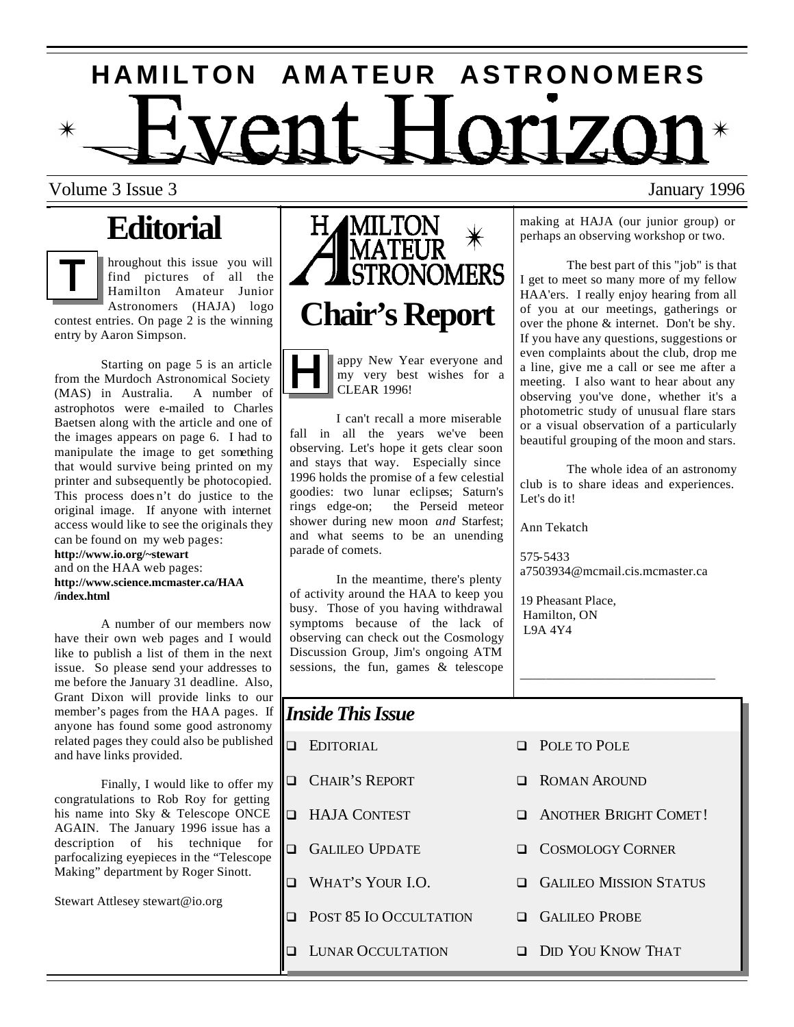# **H A M I L T O N A M A T E U R A S T R O N O M E R S**

Volume 3 Issue 3 January 1996

## **Editorial**

hroughout this issue you will find pictures of all the Hamilton Amateur Junior Astronomers (HAJA) logo

contest entries. On page 2 is the winning entry by Aaron Simpson.

 Starting on page 5 is an article from the Murdoch Astronomical Society (MAS) in Australia. A number of astrophotos were e-mailed to Charles Baetsen along with the article and one of the images appears on page 6. I had to manipulate the image to get something that would survive being printed on my printer and subsequently be photocopied. This process does n't do justice to the original image. If anyone with internet access would like to see the originals they can be found on my web pages: **http://www.io.org/~stewart** 

and on the HAA web pages: **http://www.science.mcmaster.ca/HAA /index.html**

 A number of our members now have their own web pages and I would like to publish a list of them in the next issue. So please send your addresses to me before the January 31 deadline. Also, Grant Dixon will provide links to our member's pages from the HAA pages. If anyone has found some good astronomy related pages they could also be published and have links provided.

 Finally, I would like to offer my congratulations to Rob Roy for getting his name into Sky & Telescope ONCE AGAIN. The January 1996 issue has a description of his technique for parfocalizing eyepieces in the "Telescope Making" department by Roger Sinott.

Stewart Attlesey stewart@io.org



appy New Year everyone and my very best wishes for a CLEAR 1996!

 I can't recall a more miserable fall in all the years we've been observing. Let's hope it gets clear soon and stays that way. Especially since 1996 holds the promise of a few celestial goodies: two lunar eclipses; Saturn's rings edge-on; the Perseid meteor shower during new moon *and* Starfest; and what seems to be an unending parade of comets.

 In the meantime, there's plenty of activity around the HAA to keep you busy. Those of you having withdrawal symptoms because of the lack of observing can check out the Cosmology Discussion Group, Jim's ongoing ATM sessions, the fun, games & telescope

## *Inside This Issue*

**Q** EDITORIAL **Q** POLE TO POLE **Q CHAIR'S REPORT Q ROMAN AROUND Q HAJA CONTEST Q ANOTHER BRIGHT COMET! Q GALILEO UPDATE Q COSMOLOGY CORNER Q WHAT'S YOUR I.O. Q GALILEO MISSION STATUS Q** POST 85 IO OCCULTATION **Q** GALILEO PROBE q LUNAR OCCULTATION q DID YOU KNOW THAT

making at HAJA (our junior group) or perhaps an observing workshop or two.

 The best part of this "job" is that I get to meet so many more of my fellow HAA'ers. I really enjoy hearing from all of you at our meetings, gatherings or over the phone & internet. Don't be shy. If you have any questions, suggestions or even complaints about the club, drop me a line, give me a call or see me after a meeting. I also want to hear about any observing you've done, whether it's a photometric study of unusual flare stars or a visual observation of a particularly beautiful grouping of the moon and stars.

 The whole idea of an astronomy club is to share ideas and experiences. Let's do it!

Ann Tekatch

575-5433 a7503934@mcmail.cis.mcmaster.ca

\_\_\_\_\_\_\_\_\_\_\_\_\_\_\_\_\_\_\_\_\_\_\_\_\_\_\_\_\_\_

19 Pheasant Place, Hamilton, ON L9A 4Y4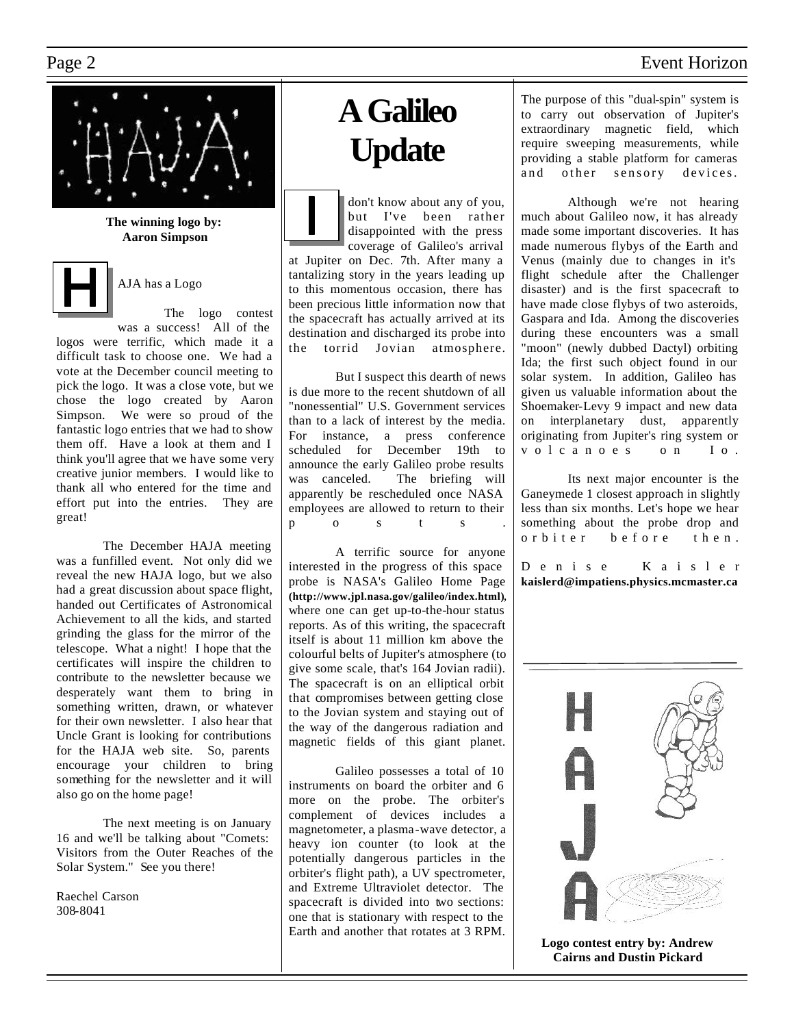#### Page 2 Event Horizon



**The winning logo by: Aaron Simpson**

AJA has a Logo

 The logo contest was a success! All of the

logos were terrific, which made it a difficult task to choose one. We had a vote at the December council meeting to pick the logo. It was a close vote, but we chose the logo created by Aaron Simpson. We were so proud of the fantastic logo entries that we had to show them off. Have a look at them and I think you'll agree that we have some very creative junior members. I would like to thank all who entered for the time and effort put into the entries. They are great!

 The December HAJA meeting was a funfilled event. Not only did we reveal the new HAJA logo, but we also had a great discussion about space flight, handed out Certificates of Astronomical Achievement to all the kids, and started grinding the glass for the mirror of the telescope. What a night! I hope that the certificates will inspire the children to contribute to the newsletter because we desperately want them to bring in something written, drawn, or whatever for their own newsletter. I also hear that Uncle Grant is looking for contributions for the HAJA web site. So, parents encourage your children to bring something for the newsletter and it will also go on the home page!

 The next meeting is on January 16 and we'll be talking about "Comets: Visitors from the Outer Reaches of the Solar System." See you there!

Raechel Carson 308-8041

# **A Galileo Update**

don't know about any of you, but I've been rather disappointed with the press coverage of Galileo's arrival at Jupiter on Dec. 7th. After many a tantalizing story in the years leading up to this momentous occasion, there has been precious little information now that the spacecraft has actually arrived at its destination and discharged its probe into the torrid Jovian atmosphere.

 But I suspect this dearth of news is due more to the recent shutdown of all "nonessential" U.S. Government services than to a lack of interest by the media. For instance, a press conference scheduled for December 19th to announce the early Galileo probe results was canceled. The briefing will apparently be rescheduled once NASA employees are allowed to return to their post s.

 A terrific source for anyone interested in the progress of this space probe is NASA's Galileo Home Page **(http://www.jpl.nasa.gov/galileo/index.html)**, where one can get up-to-the-hour status reports. As of this writing, the spacecraft itself is about 11 million km above the colourful belts of Jupiter's atmosphere (to give some scale, that's 164 Jovian radii). The spacecraft is on an elliptical orbit that compromises between getting close to the Jovian system and staying out of the way of the dangerous radiation and magnetic fields of this giant planet.

 Galileo possesses a total of 10 instruments on board the orbiter and 6 more on the probe. The orbiter's complement of devices includes a magnetometer, a plasma-wave detector, a heavy ion counter (to look at the potentially dangerous particles in the orbiter's flight path), a UV spectrometer, and Extreme Ultraviolet detector. The spacecraft is divided into two sections: one that is stationary with respect to the Earth and another that rotates at 3 RPM.

The purpose of this "dual-spin" system is to carry out observation of Jupiter's extraordinary magnetic field, which require sweeping measurements, while providing a stable platform for cameras and other sensory devices.

 Although we're not hearing much about Galileo now, it has already made some important discoveries. It has made numerous flybys of the Earth and Venus (mainly due to changes in it's flight schedule after the Challenger disaster) and is the first spacecraft to have made close flybys of two asteroids, Gaspara and Ida. Among the discoveries during these encounters was a small "moon" (newly dubbed Dactyl) orbiting Ida; the first such object found in our solar system. In addition, Galileo has given us valuable information about the Shoemaker-Levy 9 impact and new data on interplanetary dust, apparently originating from Jupiter's ring system or volcanoes on Io .

 Its next major encounter is the Ganeymede 1 closest approach in slightly less than six months. Let's hope we hear something about the probe drop and orbiter before then.

Denise Kaisler **kaislerd@impatiens.physics.mcmaster.ca**



**Logo contest entry by: Andrew Cairns and Dustin Pickard**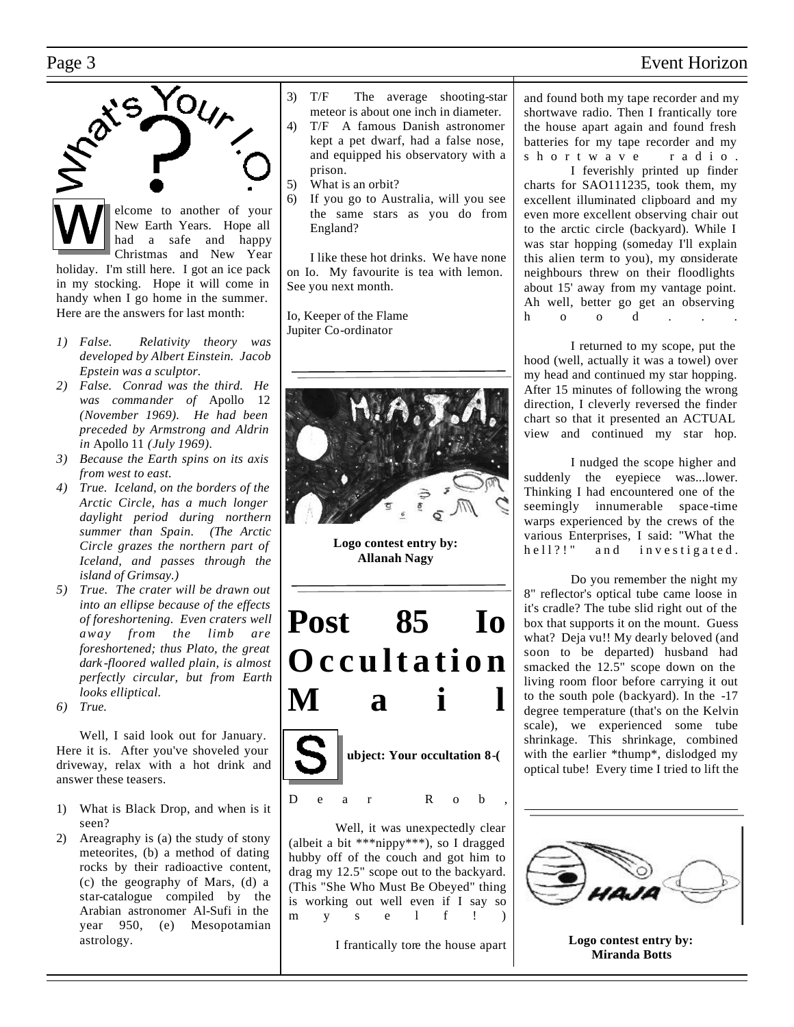#### Page 3 Event Horizon



elcome to another of your New Earth Years. Hope all had a safe and happy Christmas and New Year holiday. I'm still here. I got an ice pack in my stocking. Hope it will come in handy when I go home in the summer.

Here are the answers for last month:

- *1) False. Relativity theory was developed by Albert Einstein. Jacob Epstein was a sculptor.*
- *2) False. Conrad was the third. He was commander of* Apollo 12 *(November 1969). He had been preceded by Armstrong and Aldrin in* Apollo 11 *(July 1969).*
- *3) Because the Earth spins on its axis from west to east.*
- *4) True. Iceland, on the borders of the Arctic Circle, has a much longer daylight period during northern summer than Spain. (The Arctic Circle grazes the northern part of Iceland, and passes through the island of Grimsay.)*
- *5) True. The crater will be drawn out into an ellipse because of the effects of foreshortening. Even craters well away from the limb are foreshortened; thus Plato, the great dark -floored walled plain, is almost perfectly circular, but from Earth looks elliptical.*
- *6) True.*

 Well, I said look out for January. Here it is. After you've shoveled your driveway, relax with a hot drink and answer these teasers.

- 1) What is Black Drop, and when is it seen?
- 2) Areagraphy is (a) the study of stony meteorites, (b) a method of dating rocks by their radioactive content, (c) the geography of Mars, (d) a star-catalogue compiled by the Arabian astronomer Al-Sufi in the year 950, (e) Mesopotamian astrology.
- 3) T/F The average shooting-star meteor is about one inch in diameter.
- 4) T/F A famous Danish astronomer kept a pet dwarf, had a false nose, and equipped his observatory with a prison.
- 5) What is an orbit?
- 6) If you go to Australia, will you see the same stars as you do from England?

 I like these hot drinks. We have none on Io. My favourite is tea with lemon. See you next month.

Io, Keeper of the Flame Jupiter Co-ordinator





 Well, it was unexpectedly clear (albeit a bit \*\*\*nippy\*\*\*), so I dragged hubby off of the couch and got him to drag my 12.5" scope out to the backyard. (This "She Who Must Be Obeyed" thing is working out well even if I say so my self!)

I frantically tore the house apart

and found both my tape recorder and my shortwave radio. Then I frantically tore the house apart again and found fresh batteries for my tape recorder and my shortwave radio .

 I feverishly printed up finder charts for SAO111235, took them, my excellent illuminated clipboard and my even more excellent observing chair out to the arctic circle (backyard). While I was star hopping (someday I'll explain this alien term to you), my considerate neighbours threw on their floodlights about 15' away from my vantage point. Ah well, better go get an observing  $h$  o o d  $\cdot$  .

 I returned to my scope, put the hood (well, actually it was a towel) over my head and continued my star hopping. After 15 minutes of following the wrong direction, I cleverly reversed the finder chart so that it presented an ACTUAL view and continued my star hop.

 I nudged the scope higher and suddenly the eyepiece was...lower. Thinking I had encountered one of the seemingly innumerable space-time warps experienced by the crews of the various Enterprises, I said: "What the hell?!" and investigated.

 Do you remember the night my 8" reflector's optical tube came loose in it's cradle? The tube slid right out of the box that supports it on the mount. Guess what? Deja vu!! My dearly beloved (and soon to be departed) husband had smacked the 12.5" scope down on the living room floor before carrying it out to the south pole (backyard). In the -17 degree temperature (that's on the Kelvin scale), we experienced some tube shrinkage. This shrinkage, combined with the earlier \*thump\*, dislodged my optical tube! Every time I tried to lift the



**Logo contest entry by: Miranda Botts**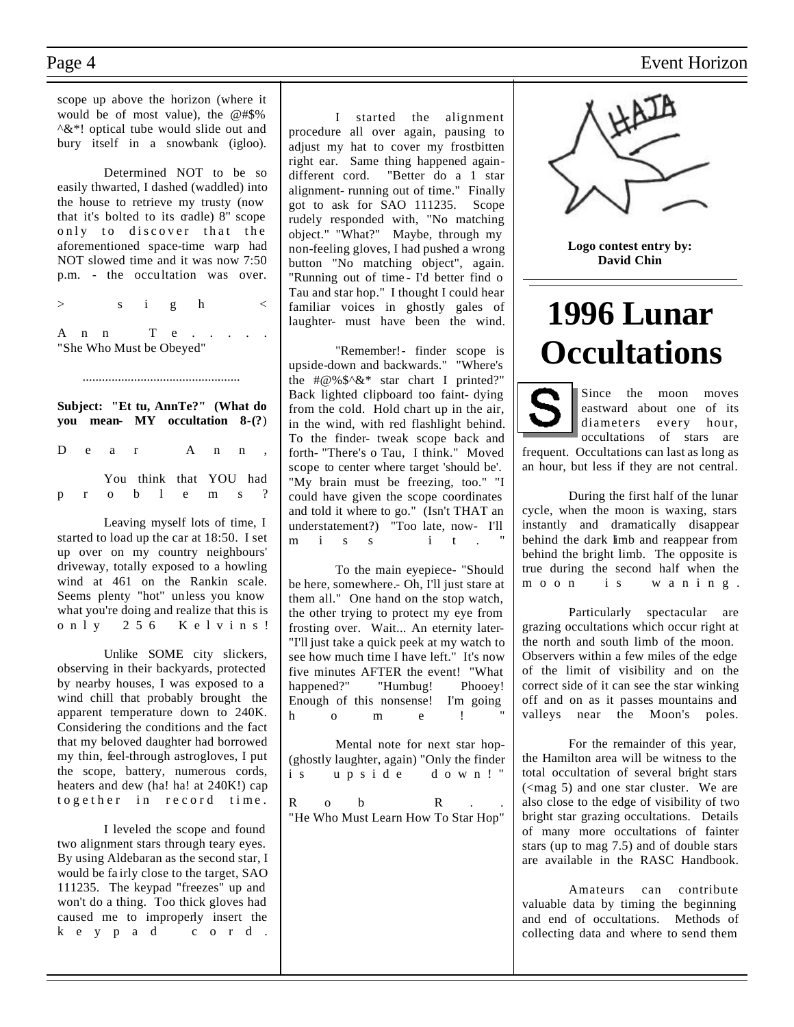scope up above the horizon (where it would be of most value), the @#\$%  $\&*!$  optical tube would slide out and bury itself in a snowbank (igloo).

 Determined NOT to be so easily thwarted, I dashed (waddled) into the house to retrieve my trusty (now that it's bolted to its gradle) 8" scope only to discover that the aforementioned space-time warp had NOT slowed time and it was now 7:50 p.m. - the occultation was over.

 $>$  sigh  $<$ 

Ann Te. "She Who Must be Obeyed"

**Subject: "Et tu, AnnTe?" (What do you mean- MY occultation 8-(?**)

.................................................

Dear Ann

 You think that YOU had problems?

 Leaving myself lots of time, I started to load up the car at 18:50. I set up over on my country neighbours' driveway, totally exposed to a howling wind at 461 on the Rankin scale. Seems plenty "hot" unless you know what you're doing and realize that this is only 256 Kelvins !

 Unlike SOME city slickers, observing in their backyards, protected by nearby houses, I was exposed to a wind chill that probably brought the apparent temperature down to 240K. Considering the conditions and the fact that my beloved daughter had borrowed my thin, feel-through astrogloves, I put the scope, battery, numerous cords, heaters and dew (ha! ha! at 240K!) cap together in record time.

 I leveled the scope and found two alignment stars through teary eyes. By using Aldebaran as the second star, I would be fa irly close to the target, SAO 111235. The keypad "freezes" up and won't do a thing. Too thick gloves had caused me to improperly insert the keypad cord .

 I started the alignment procedure all over again, pausing to adjust my hat to cover my frostbitten right ear. Same thing happened againdifferent cord. "Better do a 1 star alignment- running out of time." Finally got to ask for SAO 111235. Scope rudely responded with, "No matching object." "What?" Maybe, through my non-feeling gloves, I had pushed a wrong button "No matching object", again. "Running out of time - I'd better find o Tau and star hop." I thought I could hear familiar voices in ghostly gales of laughter- must have been the wind.

 "Remember!- finder scope is upside-down and backwards." "Where's the  $\#\omega$ %\$^&\* star chart I printed?" Back lighted clipboard too faint- dying from the cold. Hold chart up in the air, in the wind, with red flashlight behind. To the finder- tweak scope back and forth- "There's o Tau, I think." Moved scope to center where target 'should be'. "My brain must be freezing, too." "I could have given the scope coordinates and told it where to go." (Isn't THAT an understatement?) "Too late, now- I'll  $m i s s i t.$ 

 To the main eyepiece- "Should be here, somewhere.- Oh, I'll just stare at them all." One hand on the stop watch, the other trying to protect my eye from frosting over. Wait... An eternity later- "I'll just take a quick peek at my watch to see how much time I have left." It's now five minutes AFTER the event! "What happened?" "Humbug! Phooey! Enough of this nonsense! I'm going home!"

 Mental note for next star hop- (ghostly laughter, again) "Only the finder is upside down! "

R o b R . . "He Who Must Learn How To Star Hop"



**Logo contest entry by: David Chin** 

# **1996 Lunar Occultations**

Since the moon moves eastward about one of its diameters every hour, occultations of stars are frequent. Occultations can last as long as an hour, but less if they are not central.

 During the first half of the lunar cycle, when the moon is waxing, stars instantly and dramatically disappear behind the dark limb and reappear from behind the bright limb. The opposite is true during the second half when the moon is waning.

 Particularly spectacular are grazing occultations which occur right at the north and south limb of the moon. Observers within a few miles of the edge of the limit of visibility and on the correct side of it can see the star winking off and on as it passes mountains and valleys near the Moon's poles.

 For the remainder of this year, the Hamilton area will be witness to the total occultation of several bright stars (<mag 5) and one star cluster. We are also close to the edge of visibility of two bright star grazing occultations. Details of many more occultations of fainter stars (up to mag 7.5) and of double stars are available in the RASC Handbook.

 Amateurs can contribute valuable data by timing the beginning and end of occultations. Methods of collecting data and where to send them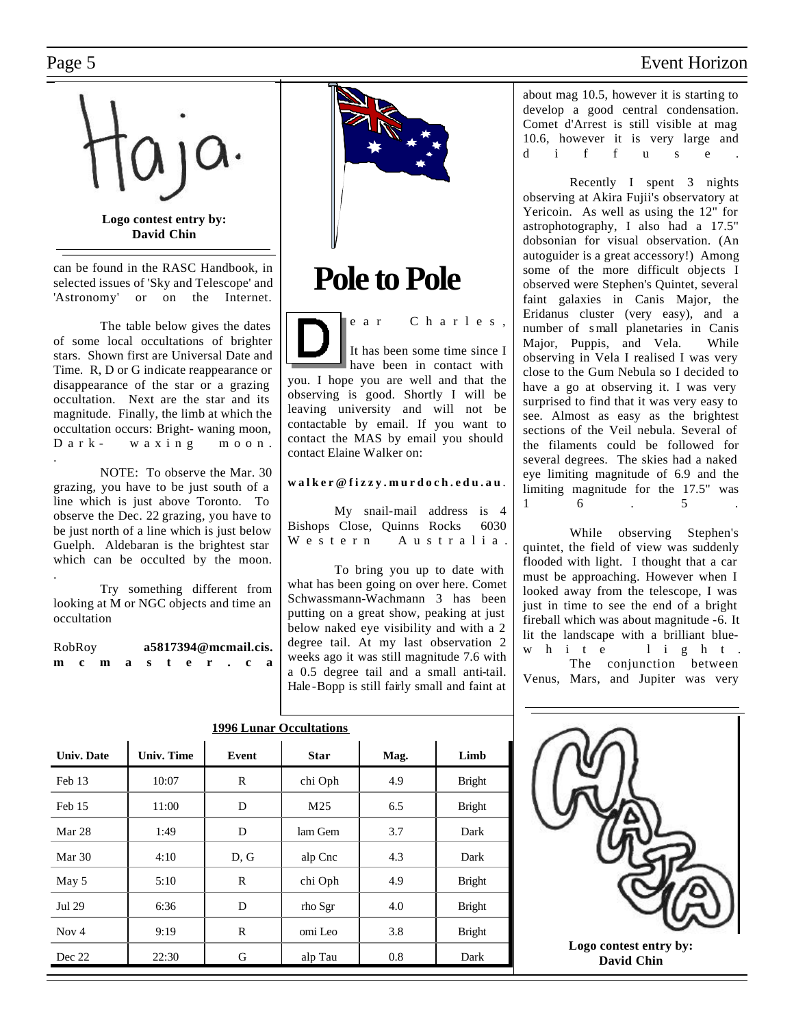#### Page 5 Event Horizon



**Logo contest entry by: David Chin** 

can be found in the RASC Handbook, in selected issues of 'Sky and Telescope' and 'Astronomy' or on the Internet.

 The table below gives the dates of some local occultations of brighter stars. Shown first are Universal Date and Time. R, D or G indicate reappearance or disappearance of the star or a grazing occultation. Next are the star and its magnitude. Finally, the limb at which the occultation occurs: Bright- waning moon, Dark- waxing moon.

. NOTE: To observe the Mar. 30 grazing, you have to be just south of a line which is just above Toronto. To observe the Dec. 22 grazing, you have to be just north of a line which is just below Guelph. Aldebaran is the brightest star which can be occulted by the moon. .

 Try something different from looking at M or NGC objects and time an occultation

| RobRoy |  |                       |  | $a5817394@$ mcmail.cis. |  |  |  |  |  |  |
|--------|--|-----------------------|--|-------------------------|--|--|--|--|--|--|
|        |  | m c m a s t e r . c a |  |                         |  |  |  |  |  |  |



## **Pole to Pole**

ear Charles, It has been some time since I have been in contact with you. I hope you are well and that the observing is good. Shortly I will be leaving university and will not be contactable by email. If you want to contact the MAS by email you should contact Elaine Walker on:

#### **walker@fizzy.murdoch.edu.au** .

 My snail-mail address is 4 Bishops Close, Quinns Rocks 6030<br>Western Australia. Australia.

 To bring you up to date with what has been going on over here. Comet Schwassmann-Wachmann 3 has been putting on a great show, peaking at just below naked eye visibility and with a 2 degree tail. At my last observation 2 weeks ago it was still magnitude 7.6 with a 0.5 degree tail and a small anti-tail. Hale -Bopp is still fairly small and faint at

about mag 10.5, however it is starting to develop a good central condensation. Comet d'Arrest is still visible at mag 10.6, however it is very large and diffuse.

 Recently I spent 3 nights observing at Akira Fujii's observatory at Yericoin. As well as using the 12" for astrophotography, I also had a 17.5" dobsonian for visual observation. (An autoguider is a great accessory!) Among some of the more difficult objects I observed were Stephen's Quintet, several faint galaxies in Canis Major, the Eridanus cluster (very easy), and a number of s mall planetaries in Canis Major, Puppis, and Vela. While observing in Vela I realised I was very close to the Gum Nebula so I decided to have a go at observing it. I was very surprised to find that it was very easy to see. Almost as easy as the brightest sections of the Veil nebula. Several of the filaments could be followed for several degrees. The skies had a naked eye limiting magnitude of 6.9 and the limiting magnitude for the 17.5" was  $1\qquad 6\qquad .\qquad 5\qquad .$ 

 While observing Stephen's quintet, the field of view was suddenly flooded with light. I thought that a car must be approaching. However when I looked away from the telescope, I was just in time to see the end of a bright fireball which was about magnitude -6. It lit the landscape with a brilliant bluewhite light. The conjunction between Venus, Mars, and Jupiter was very

| <b>1996 Lunar Occultations</b> |                   |              |                 |      |               |
|--------------------------------|-------------------|--------------|-----------------|------|---------------|
| <b>Univ. Date</b>              | <b>Univ. Time</b> | Event        | <b>Star</b>     | Mag. | Limb          |
| Feb 13                         | 10:07             | R            | chi Oph         | 4.9  | <b>Bright</b> |
| Feb 15                         | 11:00             | D            | M <sub>25</sub> | 6.5  | <b>Bright</b> |
| Mar 28                         | 1:49              | D            | lam Gem         | 3.7  | Dark          |
| Mar 30                         | 4:10              | D, G         | alp Cnc         | 4.3  | Dark          |
| May 5                          | 5:10              | R            | chi Oph         | 4.9  | <b>Bright</b> |
| Jul 29                         | 6:36              | D            | rho Sgr         | 4.0  | <b>Bright</b> |
| Nov $4$                        | 9:19              | $\mathbb{R}$ | omi Leo         | 3.8  | <b>Bright</b> |
| Dec 22                         | 22:30             | G            | alp Tau         | 0.8  | Dark          |

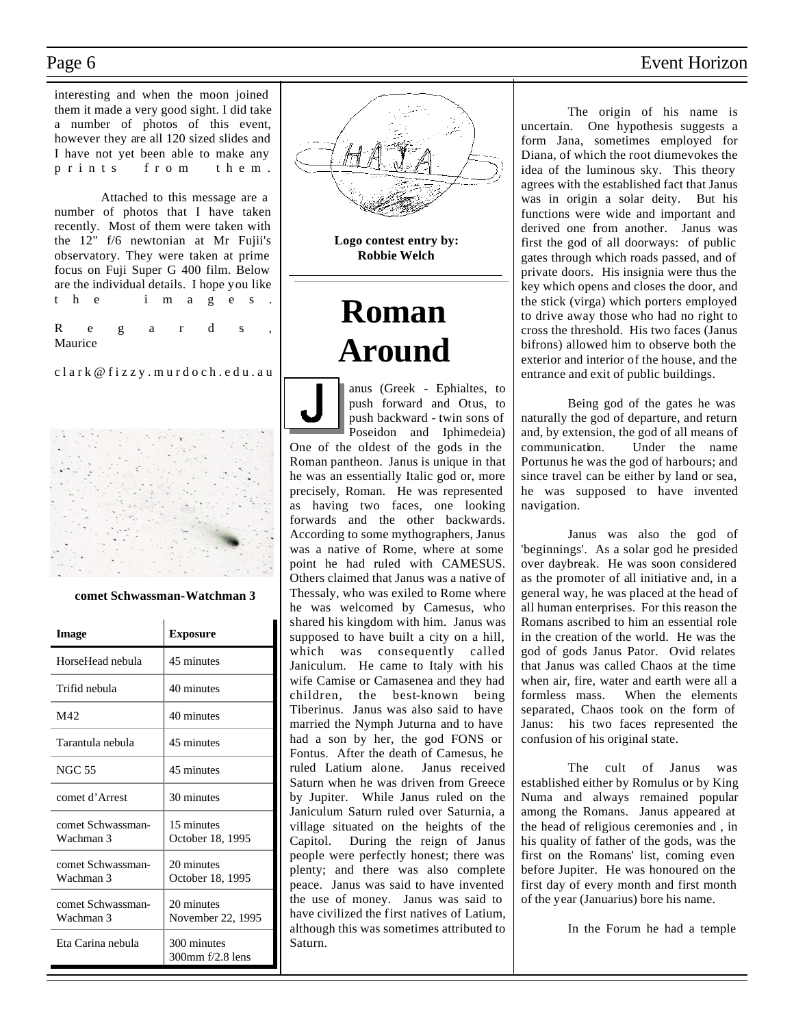interesting and when the moon joined them it made a very good sight. I did take a number of photos of this event, however they are all 120 sized slides and I have not yet been able to make any p rints from them.

 Attached to this message are a number of photos that I have taken recently. Most of them were taken with the 12" f/6 newtonian at Mr Fujii's observatory. They were taken at prime focus on Fuji Super G 400 film. Below are the individual details. I hope you like the images.

Regards, Maurice

clark@fizzy.murdoch.edu.au



#### **comet Schwassman-Watchman 3**

| <b>Image</b>                   | <b>Exposure</b>                       |  |  |  |
|--------------------------------|---------------------------------------|--|--|--|
| HorseHead nebula               | 45 minutes                            |  |  |  |
| Trifid nebula                  | 40 minutes                            |  |  |  |
| M42                            | 40 minutes                            |  |  |  |
| Tarantula nebula               | 45 minutes                            |  |  |  |
| NGC 55                         | 45 minutes                            |  |  |  |
| comet d'Arrest                 | 30 minutes                            |  |  |  |
| comet Schwassman-<br>Wachman 3 | 15 minutes<br>October 18, 1995        |  |  |  |
| comet Schwassman-<br>Wachman 3 | 20 minutes<br>October 18, 1995        |  |  |  |
| comet Schwassman-<br>Wachman 3 | 20 minutes<br>November 22, 1995       |  |  |  |
| Eta Carina nebula              | 300 minutes<br>$300$ mm f $/2.8$ lens |  |  |  |



**Logo contest entry by: Robbie Welch**

## **Roman Around**

anus (Greek - Ephialtes, to push forward and Otus, to push backward - twin sons of Poseidon and Iphimedeia) One of the oldest of the gods in the Roman pantheon. Janus is unique in that he was an essentially Italic god or, more precisely, Roman. He was represented as having two faces, one looking forwards and the other backwards. According to some mythographers, Janus was a native of Rome, where at some point he had ruled with CAMESUS. Others claimed that Janus was a native of Thessaly, who was exiled to Rome where he was welcomed by Camesus, who shared his kingdom with him. Janus was supposed to have built a city on a hill, which was consequently called Janiculum. He came to Italy with his wife Camise or Camasenea and they had children, the best-known being Tiberinus. Janus was also said to have married the Nymph Juturna and to have had a son by her, the god FONS or Fontus. After the death of Camesus, he ruled Latium alone. Janus received Saturn when he was driven from Greece by Jupiter. While Janus ruled on the Janiculum Saturn ruled over Saturnia, a village situated on the heights of the Capitol. During the reign of Janus people were perfectly honest; there was plenty; and there was also complete peace. Janus was said to have invented the use of money. Janus was said to have civilized the first natives of Latium, although this was sometimes attributed to Saturn.

 The origin of his name is uncertain. One hypothesis suggests a form Jana, sometimes employed for Diana, of which the root diumevokes the idea of the luminous sky. This theory agrees with the established fact that Janus was in origin a solar deity. But his functions were wide and important and derived one from another. Janus was first the god of all doorways: of public gates through which roads passed, and of private doors. His insignia were thus the key which opens and closes the door, and the stick (virga) which porters employed to drive away those who had no right to cross the threshold. His two faces (Janus bifrons) allowed him to observe both the exterior and interior of the house, and the entrance and exit of public buildings.

 Being god of the gates he was naturally the god of departure, and return and, by extension, the god of all means of communication. Under the name Portunus he was the god of harbours; and since travel can be either by land or sea, he was supposed to have invented navigation.

 Janus was also the god of 'beginnings'. As a solar god he presided over daybreak. He was soon considered as the promoter of all initiative and, in a general way, he was placed at the head of all human enterprises. For this reason the Romans ascribed to him an essential role in the creation of the world. He was the god of gods Janus Pator. Ovid relates that Janus was called Chaos at the time when air, fire, water and earth were all a formless mass. When the elements separated, Chaos took on the form of Janus: his two faces represented the confusion of his original state.

 The cult of Janus was established either by Romulus or by King Numa and always remained popular among the Romans. Janus appeared at the head of religious ceremonies and , in his quality of father of the gods, was the first on the Romans' list, coming even before Jupiter. He was honoured on the first day of every month and first month of the year (Januarius) bore his name.

In the Forum he had a temple

## Page 6 Event Horizon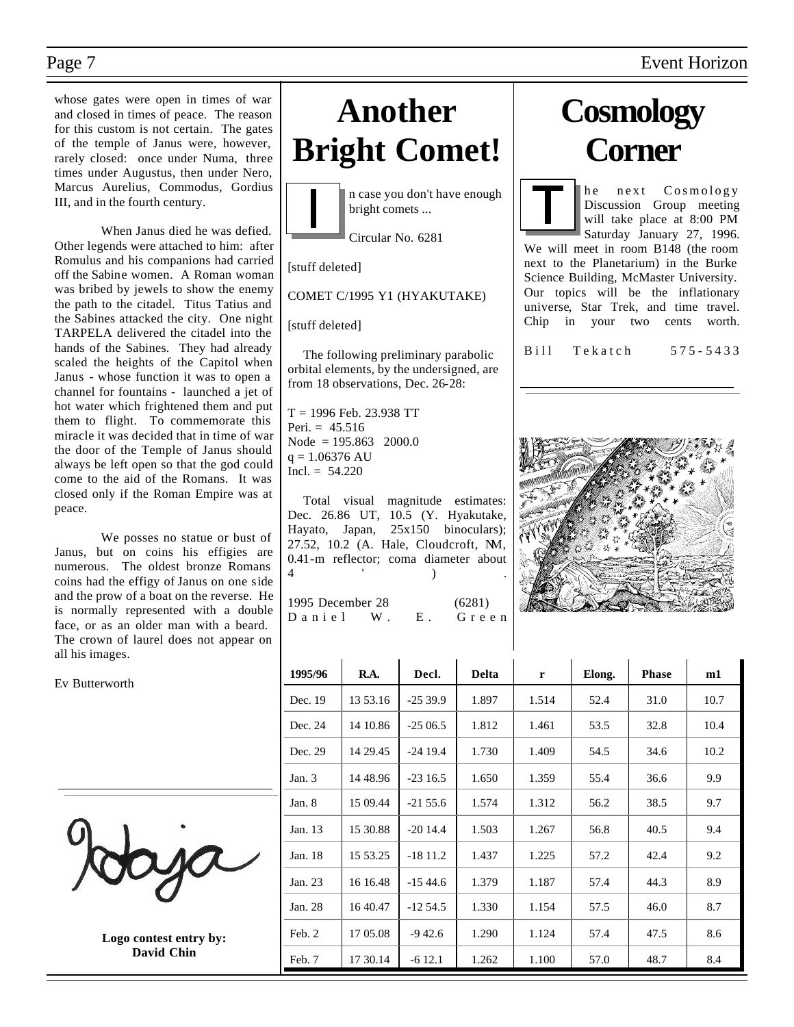## Page 7 Event Horizon

whose gates were open in times of war and closed in times of peace. The reason for this custom is not certain. The gates of the temple of Janus were, however, rarely closed: once under Numa, three times under Augustus, then under Nero, Marcus Aurelius, Commodus, Gordius III, and in the fourth century.

 When Janus died he was defied. Other legends were attached to him: after Romulus and his companions had carried off the Sabine women. A Roman woman was bribed by jewels to show the enemy the path to the citadel. Titus Tatius and the Sabines attacked the city. One night TARPELA delivered the citadel into the hands of the Sabines. They had already scaled the heights of the Capitol when Janus - whose function it was to open a channel for fountains - launched a jet of hot water which frightened them and put them to flight. To commemorate this miracle it was decided that in time of war the door of the Temple of Janus should always be left open so that the god could come to the aid of the Romans. It was closed only if the Roman Empire was at peace.

 We posses no statue or bust of Janus, but on coins his effigies are numerous. The oldest bronze Romans coins had the effigy of Janus on one side and the prow of a boat on the reverse. He is normally represented with a double face, or as an older man with a beard. The crown of laurel does not appear on all his images.

Ev Butterworth





Circular No. 6281

[stuff deleted]

COMET C/1995 Y1 (HYAKUTAKE)

[stuff deleted]

 The following preliminary parabolic orbital elements, by the undersigned, are from 18 observations, Dec. 26-28:

 $T = 1996$  Feb. 23.938 TT Peri.  $= 45.516$ Node =  $195.863$  2000.0  $q = 1.06376$  AU  $Incl. = 54.220$ 

 Total visual magnitude estimates: Dec. 26.86 UT, 10.5 (Y. Hyakutake, Hayato, Japan, 25x150 binoculars); 27.52, 10.2 (A. Hale, Cloudcroft, NM, 0.41-m reflector; coma diameter about 4').

| 1995 December 28 |   |    | (6281) |
|------------------|---|----|--------|
| Daniel           | W | Ε. | Green  |

## **Cosmology Corner**

he next Cosmology Discussion Group meeting will take place at 8:00 PM Saturday January 27, 1996. We will meet in room B148 (the room next to the Planetarium) in the Burke Science Building, McMaster University. Our topics will be the inflationary universe, Star Trek, and time travel. Chip in your two cents worth.

Bill Tekatch 575 - 5433



| 1995/96  | R.A.     | Decl.     | <b>Delta</b> | r     | Elong. | <b>Phase</b> | m1   |
|----------|----------|-----------|--------------|-------|--------|--------------|------|
| Dec. 19  | 13 53.16 | $-2539.9$ | 1.897        | 1.514 | 52.4   | 31.0         | 10.7 |
| Dec. 24  | 14 10.86 | $-2506.5$ | 1.812        | 1.461 | 53.5   | 32.8         | 10.4 |
| Dec. 29  | 14 29.45 | $-2419.4$ | 1.730        | 1.409 | 54.5   | 34.6         | 10.2 |
| Jan. $3$ | 14 48.96 | $-2316.5$ | 1.650        | 1.359 | 55.4   | 36.6         | 9.9  |
| Jan. 8   | 15 09.44 | $-2155.6$ | 1.574        | 1.312 | 56.2   | 38.5         | 9.7  |
| Jan. 13  | 15 30.88 | $-2014.4$ | 1.503        | 1.267 | 56.8   | 40.5         | 9.4  |
| Jan. 18  | 15 53.25 | -18 11.2  | 1.437        | 1.225 | 57.2   | 42.4         | 9.2  |
| Jan. 23  | 16 16.48 | $-1544.6$ | 1.379        | 1.187 | 57.4   | 44.3         | 8.9  |
| Jan. 28  | 16 40.47 | $-1254.5$ | 1.330        | 1.154 | 57.5   | 46.0         | 8.7  |
| Feb. 2   | 17 05.08 | $-942.6$  | 1.290        | 1.124 | 57.4   | 47.5         | 8.6  |
| Feb. 7   | 17 30.14 | $-612.1$  | 1.262        | 1.100 | 57.0   | 48.7         | 8.4  |



**Logo contest entry by: David Chin**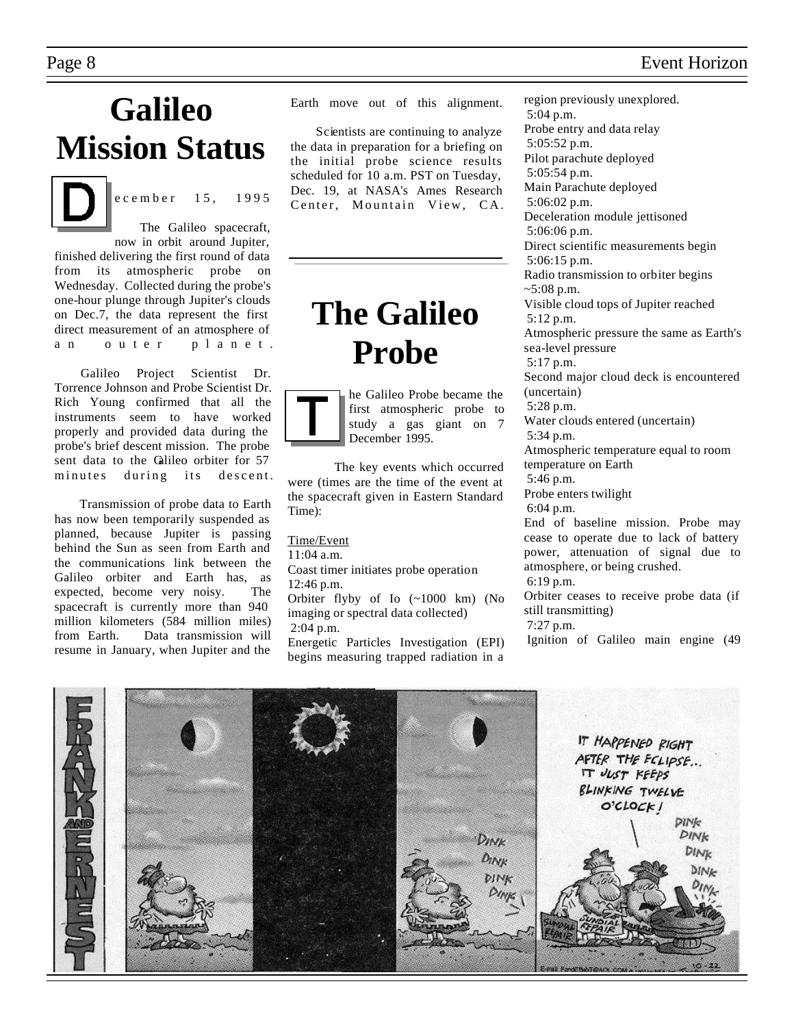## Page 8 Event Horizon

# **Galileo Mission Status**

 The Galileo spacecraft, now in orbit around Jupiter, finished delivering the first round of data from its atmospheric probe on Wednesday. Collected during the probe's one-hour plunge through Jupiter's clouds on Dec.7, the data represent the first direct measurement of an atmosphere of an out er planet.

 Galileo Project Scientist Dr. Torrence Johnson and Probe Scientist Dr. Rich Young confirmed that all the instruments seem to have worked properly and provided data during the probe's brief descent mission. The probe sent data to the Galileo orbiter for 57 minutes during its descent.

 Transmission of probe data to Earth has now been temporarily suspended as planned, because Jupiter is passing behind the Sun as seen from Earth and the communications link between the Galileo orbiter and Earth has, as expected, become very noisy. The spacecraft is currently more than 940 million kilometers (584 million miles) from Earth. Data transmission will resume in January, when Jupiter and the

Earth move out of this alignment.

Scientists are continuing to analyze the data in preparation for a briefing on the initial probe science results scheduled for 10 a.m. PST on Tuesday, Dec. 19, at NASA's Ames Research ecember 15, 1995 Dec. 19, at NASA's Ames Research<br>Center, Mountain View, CA.

## **The Galileo Probe**

he Galileo Probe became the first atmospheric probe to study a gas giant on 7 December 1995.

 The key events which occurred were (times are the time of the event at the spacecraft given in Eastern Standard Time):

#### Time/Event

11:04 a.m.

Coast timer initiates probe operation 12:46 p.m.

Orbiter flyby of Io (~1000 km) (No imaging or spectral data collected) 2:04 p.m.

Energetic Particles Investigation (EPI) begins measuring trapped radiation in a

region previously unexplored. 5:04 p.m. Probe entry and data relay 5:05:52 p.m. Pilot parachute deployed 5:05:54 p.m. Main Parachute deployed 5:06:02 p.m. Deceleration module jettisoned 5:06:06 p.m. Direct scientific measurements begin 5:06:15 p.m. Radio transmission to orbiter begins  $~5:08$  p.m. Visible cloud tops of Jupiter reached 5:12 p.m. Atmospheric pressure the same as Earth's sea-level pressure 5:17 p.m. Second major cloud deck is encountered (uncertain) 5:28 p.m. Water clouds entered (uncertain) 5:34 p.m. Atmospheric temperature equal to room temperature on Earth 5:46 p.m. Probe enters twilight 6:04 p.m. End of baseline mission. Probe may cease to operate due to lack of battery power, attenuation of signal due to atmosphere, or being crushed. 6:19 p.m. Orbiter ceases to receive probe data (if still transmitting) 7:27 p.m.

Ignition of Galileo main engine (49

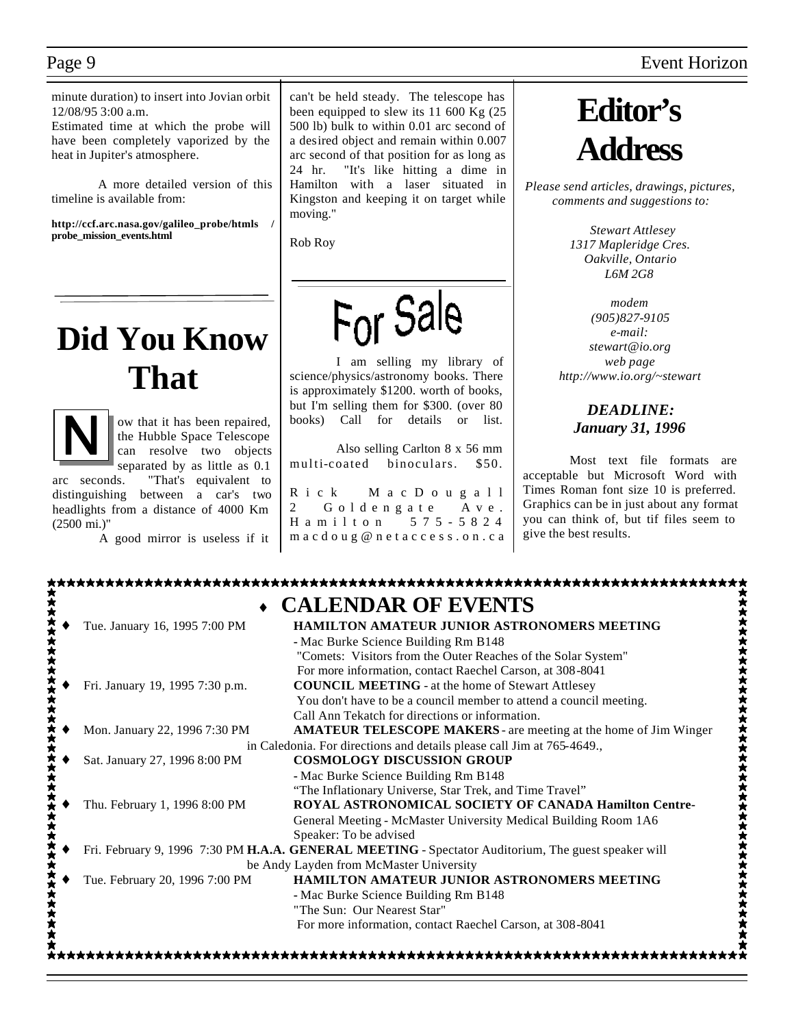minute duration) to insert into Jovian orbit 12/08/95 3:00 a.m.

Estimated time at which the probe will have been completely vaporized by the heat in Jupiter's atmosphere.

 A more detailed version of this timeline is available from:

**http://ccf.arc.nasa.gov/galileo\_probe/htmls / probe\_mission\_events.html**

## **Did You Know That**



ow that it has been repaired, the Hubble Space Telescope can resolve two objects separated by as little as 0.1

arc seconds. "That's equivalent to distinguishing between a car's two headlights from a distance of 4000 Km (2500 mi.)"

A good mirror is useless if it

can't be held steady. The telescope has been equipped to slew its 11 600 Kg (25 500 lb) bulk to within 0.01 arc second of a desired object and remain within 0.007 arc second of that position for as long as 24 hr. "It's like hitting a dime in Hamilton with a laser situated in Kingston and keeping it on target while moving."

Rob Roy

For Sale

 I am selling my library of science/physics/astronomy books. There is approximately \$1200. worth of books, but I'm selling them for \$300. (over 80 books) Call for details or list.

 Also selling Carlton 8 x 56 mm multi-coated binoculars. \$50.

Rick MacDougall 2 Goldengate Ave. Hamilton 575 - 5824 macdoug@netaccess.on.ca

# **Editor's Address**

*Please send articles, drawings, pictures, comments and suggestions to:*

> *Stewart Attlesey 1317 Mapleridge Cres. Oakville, Ontario L6M 2G8*

*modem (905)827-9105 e-mail: stewart@io.org web page http://www.io.org/~stewart*

#### *DEADLINE: January 31, 1996*

 Most text file formats are acceptable but Microsoft Word with Times Roman font size 10 is preferred. Graphics can be in just about any format you can think of, but tif files seem to give the best results.

|                                 | <b>CALENDAR OF EVENTS</b>                                                                           |
|---------------------------------|-----------------------------------------------------------------------------------------------------|
| Tue. January 16, 1995 7:00 PM   | <b>HAMILTON AMATEUR JUNIOR ASTRONOMERS MEETING</b>                                                  |
|                                 | - Mac Burke Science Building Rm B148                                                                |
|                                 | "Comets: Visitors from the Outer Reaches of the Solar System"                                       |
|                                 | For more information, contact Raechel Carson, at 308-8041                                           |
| Fri. January 19, 1995 7:30 p.m. | <b>COUNCIL MEETING - at the home of Stewart Attlesey</b>                                            |
|                                 | You don't have to be a council member to attend a council meeting.                                  |
|                                 | Call Ann Tekatch for directions or information.                                                     |
| Mon. January 22, 1996 7:30 PM   | <b>AMATEUR TELESCOPE MAKERS</b> - are meeting at the home of Jim Winger                             |
|                                 | in Caledonia. For directions and details please call Jim at 765-4649.,                              |
| Sat. January 27, 1996 8:00 PM   | <b>COSMOLOGY DISCUSSION GROUP</b>                                                                   |
|                                 | - Mac Burke Science Building Rm B148                                                                |
|                                 | "The Inflationary Universe, Star Trek, and Time Travel"                                             |
| Thu. February 1, 1996 8:00 PM   | ROYAL ASTRONOMICAL SOCIETY OF CANADA Hamilton Centre-                                               |
|                                 | General Meeting - McMaster University Medical Building Room 1A6                                     |
|                                 | Speaker: To be advised                                                                              |
|                                 | Fri. February 9, 1996 7:30 PM H.A.A. GENERAL MEETING - Spectator Auditorium, The guest speaker will |
|                                 | be Andy Layden from McMaster University                                                             |
| Tue. February 20, 1996 7:00 PM  | HAMILTON AMATEUR JUNIOR ASTRONOMERS MEETING                                                         |
|                                 | - Mac Burke Science Building Rm B148                                                                |
|                                 | "The Sun: Our Nearest Star"                                                                         |
|                                 | For more information, contact Raechel Carson, at 308-8041                                           |

## Page 9 Event Horizon